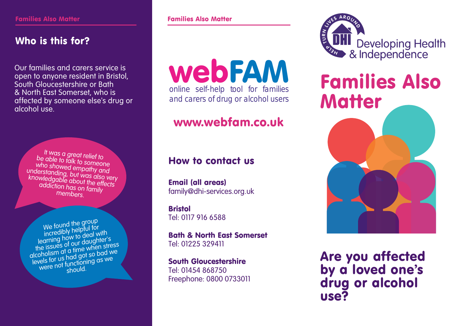## Who is this for?

Our families and carers service is open to anyone resident in Bristol, South Gloucestershire or Bath & North East Somerset, who is affected by someone else's drug or alcohol use.

It was a great relief to be able to talk to someone who showed empathy and understanding, but was also very knowledgable about the effects<br>addiction bes addiction has on family members.

We found the group incredibly helpful for learning how to deal with the issues of our daughter'<sup>s</sup> alcoholism at a time when stress levels for us had got so bad we were not functioning as we should.

**Families Also Matter Families Also Matter** 

web FAM online self-help tool for families and carers of drug or alcohol users

## www.webfam.co.uk

### How to contact us

Email (all areas) family@dhi-services.org.uk

**Bristol** Tel: 0117 916 6588

Bath & North East Somerset Tel: 01225 329411

South Gloucestershire Tel: 01454 868750 Freephone: 0800 0733011 **TURA DHI** Developing Health

# Families Also **Matter**



Are you affected by a loved one's drug or alcohol use?